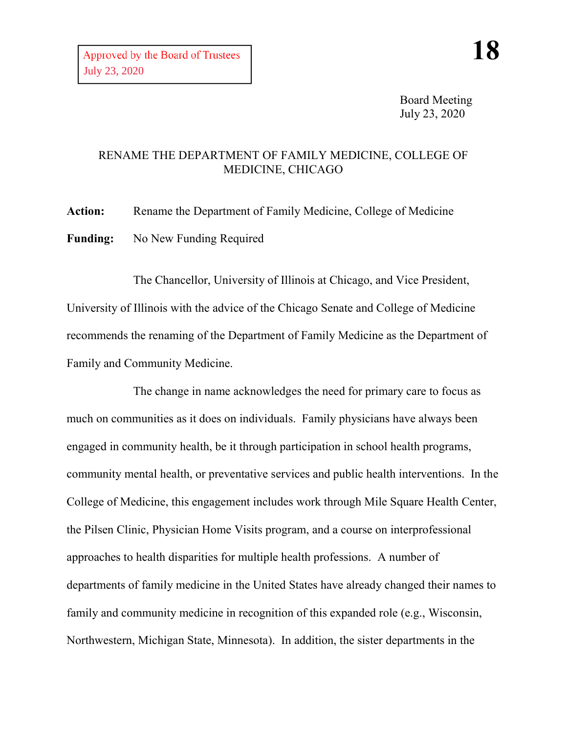Board Meeting July 23, 2020

## RENAME THE DEPARTMENT OF FAMILY MEDICINE, COLLEGE OF MEDICINE, CHICAGO

**Action:** Rename the Department of Family Medicine, College of Medicine **Funding:** No New Funding Required

The Chancellor, University of Illinois at Chicago, and Vice President, University of Illinois with the advice of the Chicago Senate and College of Medicine recommends the renaming of the Department of Family Medicine as the Department of Family and Community Medicine.

The change in name acknowledges the need for primary care to focus as much on communities as it does on individuals. Family physicians have always been engaged in community health, be it through participation in school health programs, community mental health, or preventative services and public health interventions. In the College of Medicine, this engagement includes work through Mile Square Health Center, the Pilsen Clinic, Physician Home Visits program, and a course on interprofessional approaches to health disparities for multiple health professions. A number of departments of family medicine in the United States have already changed their names to family and community medicine in recognition of this expanded role (e.g., Wisconsin, Northwestern, Michigan State, Minnesota). In addition, the sister departments in the